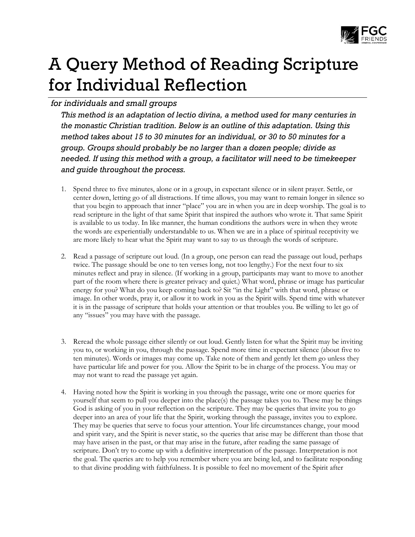

# A Query Method of Reading Scripture for Individual Reflection

## *for individuals and small groups*

*This method is an adaptation of lectio divina, a method used for many centuries in the monastic Christian tradition. Below is an outline of this adaptation. Using this method takes about 15 to 30 minutes for an individual, or 30 to 50 minutes for a group. Groups should probably be no larger than a dozen people; divide as needed. If using this method with a group, a facilitator will need to be timekeeper and guide throughout the process.*

- 1. Spend three to five minutes, alone or in a group, in expectant silence or in silent prayer. Settle, or center down, letting go of all distractions. If time allows, you may want to remain longer in silence so that you begin to approach that inner "place" you are in when you are in deep worship. The goal is to read scripture in the light of that same Spirit that inspired the authors who wrote it. That same Spirit is available to us today. In like manner, the human conditions the authors were in when they wrote the words are experientially understandable to us. When we are in a place of spiritual receptivity we are more likely to hear what the Spirit may want to say to us through the words of scripture.
- 2. Read a passage of scripture out loud. (In a group, one person can read the passage out loud, perhaps twice. The passage should be one to ten verses long, not too lengthy.) For the next four to six minutes reflect and pray in silence. (If working in a group, participants may want to move to another part of the room where there is greater privacy and quiet.) What word, phrase or image has particular energy for you? What do you keep coming back to? Sit "in the Light" with that word, phrase or image. In other words, pray it, or allow it to work in you as the Spirit wills. Spend time with whatever it is in the passage of scripture that holds your attention or that troubles you. Be willing to let go of any "issues" you may have with the passage.
- 3. Reread the whole passage either silently or out loud. Gently listen for what the Spirit may be inviting you to, or working in you, through the passage. Spend more time in expectant silence (about five to ten minutes). Words or images may come up. Take note of them and gently let them go unless they have particular life and power for you. Allow the Spirit to be in charge of the process. You may or may not want to read the passage yet again.
- 4. Having noted how the Spirit is working in you through the passage, write one or more queries for yourself that seem to pull you deeper into the place(s) the passage takes you to. These may be things God is asking of you in your reflection on the scripture. They may be queries that invite you to go deeper into an area of your life that the Spirit, working through the passage, invites you to explore. They may be queries that serve to focus your attention. Your life circumstances change, your mood and spirit vary, and the Spirit is never static, so the queries that arise may be different than those that may have arisen in the past, or that may arise in the future, after reading the same passage of scripture. Don't try to come up with a definitive interpretation of the passage. Interpretation is not the goal. The queries are to help you remember where you are being led, and to facilitate responding to that divine prodding with faithfulness. It is possible to feel no movement of the Spirit after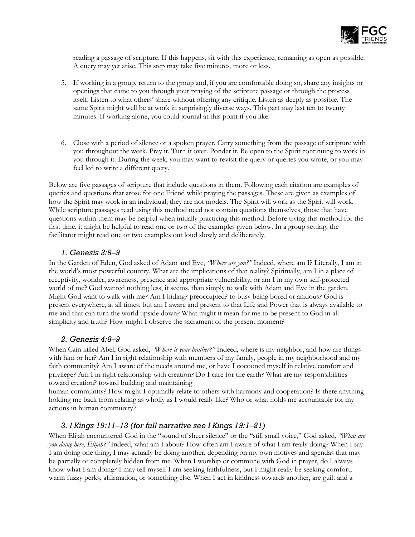

reading a passage of scripture. If this happens, sit with this experience, remaining as open as possible. A query may yet arise. This step may take five minutes, more or less.

- 5. If working in a group, return to the group and, if you are comfortable doing so, share any insights or openings that came to you through your praying of the scripture passage or through the process itself. Listen to what others' share without offering any critique. Listen as deeply as possible. The same Spirit might well be at work in surprisingly diverse ways. This part may last ten to twenty minutes. If working alone, you could journal at this point if you like.
- 6. Close with a period of silence or a spoken prayer. Carry something from the passage of scripture with you throughout the week. Pray it. Turn it over. Ponder it. Be open to the Spirit continuing to work in you through it. During the week, you may want to revisit the query or queries you wrote, or you may feel led to write a different query.

Below are five passages of scripture that include questions in them. Following each citation are examples of queries and questions that arose for one Friend while praying the passages. These are given as examples of how the Spirit may work in an individual; they are not models. The Spirit will work as the Spirit will work. While scripture passages read using this method need not contain questions themselves, those that have questions within them may be helpful when initially practicing this method. Before trying this method for the first time, it might be helpful to read one or two of the examples given below. In a group setting, the facilitator might read one or two examples out loud slowly and deliberately.

#### *1. Genesis 3:89*

In the Garden of Eden, God asked of Adam and Eve, "Where are you?" Indeed, where am I? Literally, I am in the world's most powerful country. What are the implications of that reality? Spiritually, am I in a place of receptivity, wonder, awareness, presence and appropriate vulnerability, or am I in my own self-protected world of me? God wanted nothing less, it seems, than simply to walk with Adam and Eve in the garden. Might God want to walk with me? Am I hiding? preoccupied? to busy being bored or anxious? God is present everywhere, at all times, but am I aware and present to that Life and Power that is always available to me and that can turn the world upside down? What might it mean for me to be present to God in all simplicity and truth? How might I observe the sacrament of the present moment?

### *2. Genesis 4:89*

When Cain killed Abel, God asked, *'Where is your brother?''* Indeed, where is my neighbor, and how are things with him or her? Am I in right relationship with members of my family, people in my neighborhood and my faith community? Am I aware of the needs around me, or have I cocooned myself in relative comfort and privilege? Am I in right relationship with creation? Do I care for the earth? What are my responsibilities toward creation? toward building and maintaining

human community? How might I optimally relate to others with harmony and cooperation? Is there anything holding me back from relating as wholly as I would really like? Who or what holds me accountable for my actions in human community?

### *3. I Kings 19:1113 (for full narrative see I Kings 19:121)*

When Elijah encountered God in the "sound of sheer silence" or the "still small voice," God asked, "What are you doing here, Elijah?" Indeed, what am I about? How often am I aware of what I am really doing? When I say I am doing one thing, I may actually be doing another, depending on my own motives and agendas that may be partially or completely hidden from me. When I worship or commune with God in prayer, do I always know what I am doing? I may tell myself I am seeking faithfulness, but I might really be seeking comfort, warm fuzzy perks, affirmation, or something else. When I act in kindness towards another, are guilt and a